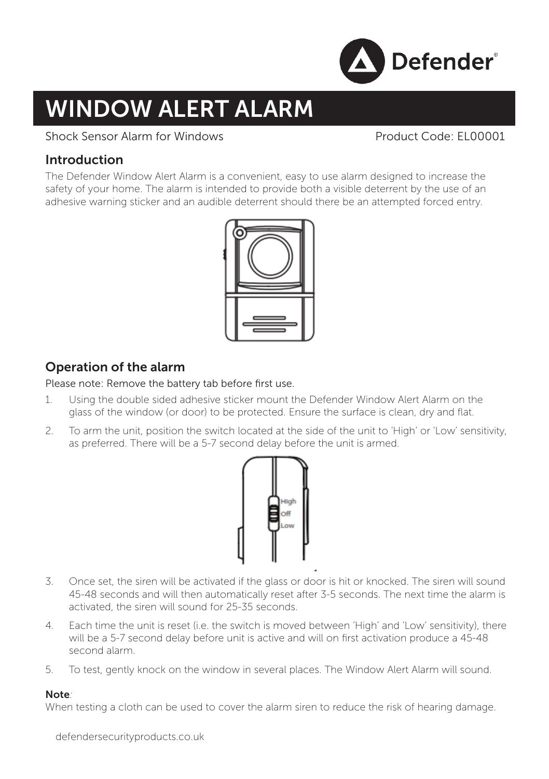

# WINDOW ALERT ALARM

## Shock Sensor Alarm for Windows Product Code: EL00001

# Introduction

The Defender Window Alert Alarm is a convenient, easy to use alarm designed to increase the safety of your home. The alarm is intended to provide both a visible deterrent by the use of an adhesive warning sticker and an audible deterrent should there be an attempted forced entry.



# Operation of the alarm

Please note: Remove the battery tab before first use.

- 1. Using the double sided adhesive sticker mount the Defender Window Alert Alarm on the glass of the window (or door) to be protected. Ensure the surface is clean, dry and flat.
- 2. To arm the unit, position the switch located at the side of the unit to 'High' or 'Low' sensitivity, as preferred. There will be a 5-7 second delay before the unit is armed.



- 3. Once set, the siren will be activated if the glass or door is hit or knocked. The siren will sound 45-48 seconds and will then automatically reset after 3-5 seconds. The next time the alarm is activated, the siren will sound for 25-35 seconds.
- 4. Each time the unit is reset (i.e. the switch is moved between 'High' and 'Low' sensitivity), there will be a 5-7 second delay before unit is active and will on first activation produce a 45-48 second alarm.
- 5. To test, gently knock on the window in several places. The Window Alert Alarm will sound.

#### Note*:*

When testing a cloth can be used to cover the alarm siren to reduce the risk of hearing damage.

defendersecurityproducts.co.uk